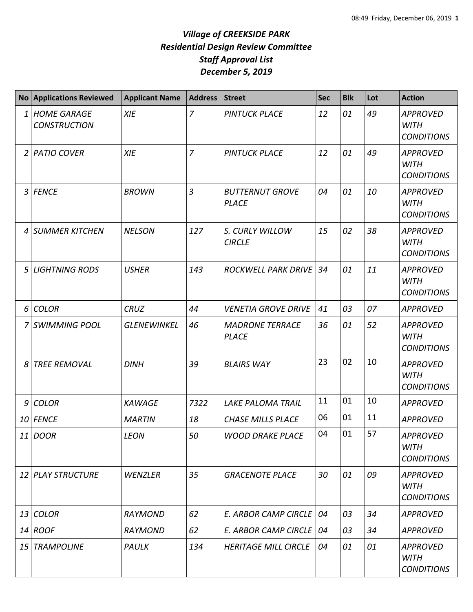| <b>No</b>       | <b>Applications Reviewed</b>              | <b>Applicant Name</b> | <b>Address</b> | <b>Street</b>                          | <b>Sec</b> | <b>Blk</b> | Lot | <b>Action</b>                                       |
|-----------------|-------------------------------------------|-----------------------|----------------|----------------------------------------|------------|------------|-----|-----------------------------------------------------|
| 1               | <b>HOME GARAGE</b><br><b>CONSTRUCTION</b> | <b>XIE</b>            | $\overline{7}$ | <b>PINTUCK PLACE</b>                   | 12         | 01         | 49  | <b>APPROVED</b><br><b>WITH</b><br><b>CONDITIONS</b> |
| 2               | <b>PATIO COVER</b>                        | <b>XIE</b>            | $\overline{z}$ | <b>PINTUCK PLACE</b>                   | 12         | 01         | 49  | <b>APPROVED</b><br><b>WITH</b><br><b>CONDITIONS</b> |
| 3               | <b>FENCE</b>                              | <b>BROWN</b>          | 3              | <b>BUTTERNUT GROVE</b><br><b>PLACE</b> | 04         | 01         | 10  | <b>APPROVED</b><br><b>WITH</b><br><b>CONDITIONS</b> |
| 4               | <b>SUMMER KITCHEN</b>                     | <b>NELSON</b>         | 127            | S. CURLY WILLOW<br><b>CIRCLE</b>       | 15         | 02         | 38  | <b>APPROVED</b><br><b>WITH</b><br><b>CONDITIONS</b> |
| 5               | <b>LIGHTNING RODS</b>                     | <b>USHER</b>          | 143            | ROCKWELL PARK DRIVE                    | 34         | 01         | 11  | <b>APPROVED</b><br><b>WITH</b><br><b>CONDITIONS</b> |
| 6               | <b>COLOR</b>                              | <b>CRUZ</b>           | 44             | <b>VENETIA GROVE DRIVE</b>             | 41         | 03         | 07  | <b>APPROVED</b>                                     |
|                 | <b>SWIMMING POOL</b>                      | <b>GLENEWINKEL</b>    | 46             | <b>MADRONE TERRACE</b><br><b>PLACE</b> | 36         | 01         | 52  | <b>APPROVED</b><br><b>WITH</b><br><b>CONDITIONS</b> |
| 8               | <b>TREE REMOVAL</b>                       | <b>DINH</b>           | 39             | <b>BLAIRS WAY</b>                      | 23         | 02         | 10  | <b>APPROVED</b><br><b>WITH</b><br><b>CONDITIONS</b> |
| 9               | <b>COLOR</b>                              | <b>KAWAGE</b>         | 7322           | <b>LAKE PALOMA TRAIL</b>               | 11         | 01         | 10  | <b>APPROVED</b>                                     |
| 10              | <b>FENCE</b>                              | <b>MARTIN</b>         | 18             | <b>CHASE MILLS PLACE</b>               | 06         | 01         | 11  | <b>APPROVED</b>                                     |
|                 | 11 DOOR                                   | <b>LEON</b>           | 50             | <b>WOOD DRAKE PLACE</b>                | 04         | 01         | 57  | <b>APPROVED</b><br>WITH<br><b>CONDITIONS</b>        |
| 12 <sup>1</sup> | PLAY STRUCTURE                            | <b>WENZLER</b>        | 35             | <b>GRACENOTE PLACE</b>                 | 30         | 01         | 09  | <b>APPROVED</b><br><b>WITH</b><br><b>CONDITIONS</b> |
| 13              | <b>COLOR</b>                              | <b>RAYMOND</b>        | 62             | E. ARBOR CAMP CIRCLE                   | 04         | 03         | 34  | <b>APPROVED</b>                                     |
|                 | $14$ ROOF                                 | <b>RAYMOND</b>        | 62             | <b>E. ARBOR CAMP CIRCLE</b>            | 04         | 03         | 34  | <b>APPROVED</b>                                     |
| 15              | <b>TRAMPOLINE</b>                         | PAULK                 | 134            | <b>HERITAGE MILL CIRCLE</b>            | 04         | 01         | 01  | <b>APPROVED</b><br><b>WITH</b><br><b>CONDITIONS</b> |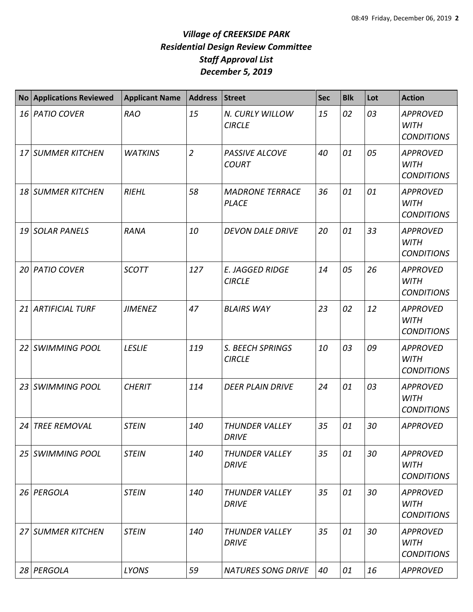| No <sub>1</sub> | <b>Applications Reviewed</b> | <b>Applicant Name</b> | <b>Address</b> | Street                                  | <b>Sec</b> | <b>Blk</b> | Lot | <b>Action</b>                                       |
|-----------------|------------------------------|-----------------------|----------------|-----------------------------------------|------------|------------|-----|-----------------------------------------------------|
|                 | 16 PATIO COVER               | <b>RAO</b>            | 15             | N. CURLY WILLOW<br><b>CIRCLE</b>        | 15         | 02         | 03  | <b>APPROVED</b><br><b>WITH</b><br><b>CONDITIONS</b> |
|                 | 17 SUMMER KITCHEN            | <b>WATKINS</b>        | $\overline{2}$ | PASSIVE ALCOVE<br><b>COURT</b>          | 40         | 01         | 05  | <b>APPROVED</b><br><b>WITH</b><br><b>CONDITIONS</b> |
|                 | 18 SUMMER KITCHEN            | <b>RIEHL</b>          | 58             | <b>MADRONE TERRACE</b><br><b>PLACE</b>  | 36         | 01         | 01  | <b>APPROVED</b><br><b>WITH</b><br><b>CONDITIONS</b> |
|                 | 19 SOLAR PANELS              | <b>RANA</b>           | 10             | <b>DEVON DALE DRIVE</b>                 | 20         | 01         | 33  | <b>APPROVED</b><br><b>WITH</b><br><b>CONDITIONS</b> |
|                 | 20 PATIO COVER               | <b>SCOTT</b>          | 127            | <b>E. JAGGED RIDGE</b><br><b>CIRCLE</b> | 14         | 05         | 26  | <b>APPROVED</b><br><b>WITH</b><br><b>CONDITIONS</b> |
|                 | 21 ARTIFICIAL TURF           | <b>JIMENEZ</b>        | 47             | <b>BLAIRS WAY</b>                       | 23         | 02         | 12  | <b>APPROVED</b><br><b>WITH</b><br><b>CONDITIONS</b> |
|                 | 22 SWIMMING POOL             | <b>LESLIE</b>         | 119            | S. BEECH SPRINGS<br><b>CIRCLE</b>       | 10         | 03         | 09  | <b>APPROVED</b><br><b>WITH</b><br><b>CONDITIONS</b> |
|                 | 23 SWIMMING POOL             | <b>CHERIT</b>         | 114            | <b>DEER PLAIN DRIVE</b>                 | 24         | 01         | 03  | <b>APPROVED</b><br><b>WITH</b><br><b>CONDITIONS</b> |
| 24              | <b>TREE REMOVAL</b>          | <b>STEIN</b>          | 140            | <b>THUNDER VALLEY</b><br><b>DRIVE</b>   | 35         | 01         | 30  | <b>APPROVED</b>                                     |
|                 | 25 SWIMMING POOL             | <b>STEIN</b>          | 140            | <b>THUNDER VALLEY</b><br><b>DRIVE</b>   | 35         | 01         | 30  | <b>APPROVED</b><br><b>WITH</b><br><b>CONDITIONS</b> |
|                 | 26 PERGOLA                   | <b>STEIN</b>          | 140            | <b>THUNDER VALLEY</b><br><b>DRIVE</b>   | 35         | 01         | 30  | <b>APPROVED</b><br><b>WITH</b><br><b>CONDITIONS</b> |
|                 | 27 SUMMER KITCHEN            | <b>STEIN</b>          | 140            | <b>THUNDER VALLEY</b><br><b>DRIVE</b>   | 35         | 01         | 30  | <b>APPROVED</b><br><b>WITH</b><br><b>CONDITIONS</b> |
|                 | 28 PERGOLA                   | LYONS                 | 59             | <b>NATURES SONG DRIVE</b>               | 40         | 01         | 16  | <b>APPROVED</b>                                     |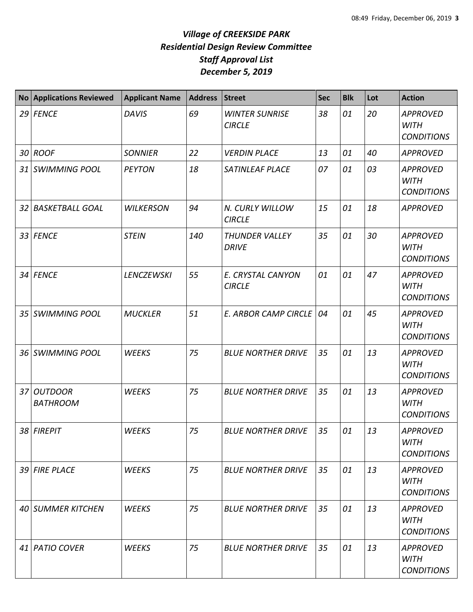| No <sub>1</sub> | <b>Applications Reviewed</b>  | <b>Applicant Name</b> | <b>Address</b> | <b>Street</b>                          | <b>Sec</b> | <b>Blk</b> | Lot | <b>Action</b>                                       |
|-----------------|-------------------------------|-----------------------|----------------|----------------------------------------|------------|------------|-----|-----------------------------------------------------|
|                 | $29$ FENCE                    | <b>DAVIS</b>          | 69             | <b>WINTER SUNRISE</b><br><b>CIRCLE</b> | 38         | 01         | 20  | <b>APPROVED</b><br><b>WITH</b><br><b>CONDITIONS</b> |
|                 | 30 ROOF                       | <b>SONNIER</b>        | 22             | <b>VERDIN PLACE</b>                    | 13         | 01         | 40  | <b>APPROVED</b>                                     |
|                 | 31 SWIMMING POOL              | <b>PEYTON</b>         | 18             | SATINLEAF PLACE                        | 07         | 01         | 03  | <b>APPROVED</b><br><b>WITH</b><br><b>CONDITIONS</b> |
|                 | 32 BASKETBALL GOAL            | <b>WILKERSON</b>      | 94             | N. CURLY WILLOW<br><b>CIRCLE</b>       | 15         | 01         | 18  | <b>APPROVED</b>                                     |
|                 | 33 FENCE                      | <b>STEIN</b>          | 140            | THUNDER VALLEY<br><b>DRIVE</b>         | 35         | 01         | 30  | <b>APPROVED</b><br><b>WITH</b><br><b>CONDITIONS</b> |
|                 | 34 FENCE                      | <b>LENCZEWSKI</b>     | 55             | E. CRYSTAL CANYON<br><b>CIRCLE</b>     | 01         | 01         | 47  | <b>APPROVED</b><br><b>WITH</b><br><b>CONDITIONS</b> |
|                 | 35 SWIMMING POOL              | <b>MUCKLER</b>        | 51             | <b>E. ARBOR CAMP CIRCLE</b>            | 04         | 01         | 45  | <b>APPROVED</b><br><b>WITH</b><br><b>CONDITIONS</b> |
| 36 <sup>1</sup> | <b>SWIMMING POOL</b>          | <b>WEEKS</b>          | 75             | <b>BLUE NORTHER DRIVE</b>              | 35         | 01         | 13  | <b>APPROVED</b><br><b>WITH</b><br><b>CONDITIONS</b> |
|                 | 37 OUTDOOR<br><b>BATHROOM</b> | <b>WEEKS</b>          | 75             | <b>BLUE NORTHER DRIVE</b>              | 35         | 01         | 13  | <b>APPROVED</b><br><b>WITH</b><br><b>CONDITIONS</b> |
|                 | 38 FIREPIT                    | <b>WEEKS</b>          | 75             | <b>BLUE NORTHER DRIVE</b>              | 35         | 01         | 13  | <b>APPROVED</b><br><b>WITH</b><br><b>CONDITIONS</b> |
|                 | 39 FIRE PLACE                 | <b>WEEKS</b>          | 75             | <b>BLUE NORTHER DRIVE</b>              | 35         | 01         | 13  | <b>APPROVED</b><br><b>WITH</b><br><b>CONDITIONS</b> |
|                 | 40 SUMMER KITCHEN             | <b>WEEKS</b>          | 75             | <b>BLUE NORTHER DRIVE</b>              | 35         | 01         | 13  | <b>APPROVED</b><br><b>WITH</b><br><b>CONDITIONS</b> |
|                 | 41 PATIO COVER                | <b>WEEKS</b>          | 75             | <b>BLUE NORTHER DRIVE</b>              | 35         | 01         | 13  | <b>APPROVED</b><br>WITH<br><b>CONDITIONS</b>        |